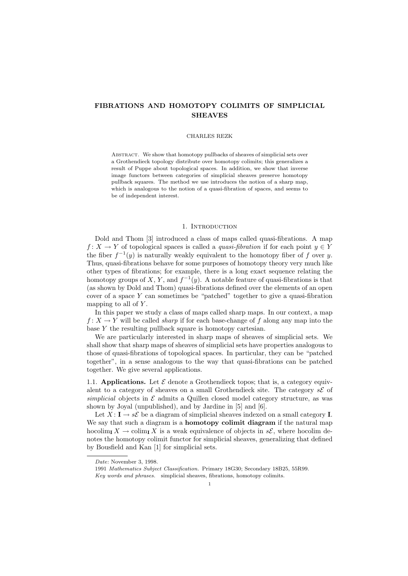# FIBRATIONS AND HOMOTOPY COLIMITS OF SIMPLICIAL **SHEAVES**

#### CHARLES REZK

Abstract. We show that homotopy pullbacks of sheaves of simplicial sets over a Grothendieck topology distribute over homotopy colimits; this generalizes a result of Puppe about topological spaces. In addition, we show that inverse image functors between categories of simplicial sheaves preserve homotopy pullback squares. The method we use introduces the notion of a sharp map, which is analogous to the notion of a quasi-fibration of spaces, and seems to be of independent interest.

### 1. INTRODUCTION

Dold and Thom [3] introduced a class of maps called quasi-fibrations. A map  $f: X \to Y$  of topological spaces is called a *quasi-fibration* if for each point  $y \in Y$ the fiber  $f^{-1}(y)$  is naturally weakly equivalent to the homotopy fiber of f over y. Thus, quasi-fibrations behave for some purposes of homotopy theory very much like other types of fibrations; for example, there is a long exact sequence relating the homotopy groups of X, Y, and  $f^{-1}(y)$ . A notable feature of quasi-fibrations is that (as shown by Dold and Thom) quasi-fibrations defined over the elements of an open cover of a space  $Y$  can sometimes be "patched" together to give a quasi-fibration mapping to all of  $Y$ .

In this paper we study a class of maps called sharp maps. In our context, a map  $f: X \to Y$  will be called *sharp* if for each base-change of f along any map into the base  $Y$  the resulting pullback square is homotopy cartesian.

We are particularly interested in sharp maps of sheaves of simplicial sets. We shall show that sharp maps of sheaves of simplicial sets have properties analogous to those of quasi-fibrations of topological spaces. In particular, they can be "patched together", in a sense analogous to the way that quasi-fibrations can be patched together. We give several applications.

1.1. Applications. Let  $\mathcal E$  denote a Grothendieck topos; that is, a category equivalent to a category of sheaves on a small Grothendieck site. The category  $s\mathcal{E}$  of simplicial objects in  $\mathcal E$  admits a Quillen closed model category structure, as was shown by Joyal (unpublished), and by Jardine in [5] and [6].

Let  $X: I \to s\mathcal{E}$  be a diagram of simplicial sheaves indexed on a small category I. We say that such a diagram is a **homotopy colimit diagram** if the natural map hocolim<sub>I</sub>  $X \to \text{colim}_{\text{I}} X$  is a weak equivalence of objects in  $s\mathcal{E}$ , where hocolim denotes the homotopy colimit functor for simplicial sheaves, generalizing that defined by Bousfield and Kan [1] for simplicial sets.

Date: November 3, 1998.

<sup>1991</sup> Mathematics Subject Classification. Primary 18G30; Secondary 18B25, 55R99. Key words and phrases. simplicial sheaves, fibrations, homotopy colimits.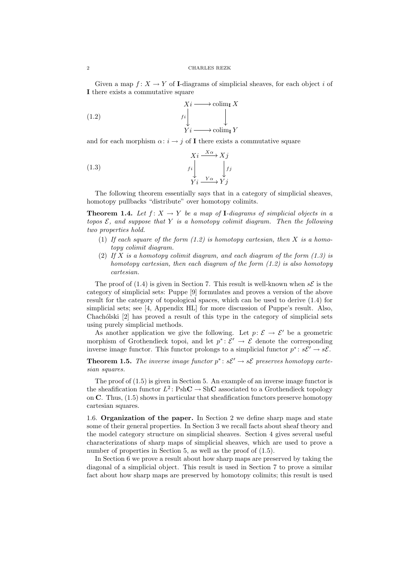Given a map  $f: X \to Y$  of I-diagrams of simplicial sheaves, for each object i of I there exists a commutative square

(1.2) 
$$
Xi \longrightarrow \operatorname{colim}_{\mathbf{I}} X
$$

$$
f i \downarrow \qquad \qquad \downarrow
$$

$$
Yi \longrightarrow \operatorname{colim}_{\mathbf{I}} Y
$$

and for each morphism  $\alpha: i \to j$  of I there exists a commutative square

(1.3) 
$$
Xi \xrightarrow{X\alpha} Xj
$$

$$
f_i \downarrow \qquad f_j
$$

$$
Yi \xrightarrow{Y\alpha} Yj
$$

The following theorem essentially says that in a category of simplicial sheaves, homotopy pullbacks "distribute" over homotopy colimits.

**Theorem 1.4.** Let  $f: X \to Y$  be a map of **I**-diagrams of simplicial objects in a topos  $\mathcal{E}$ , and suppose that Y is a homotopy colimit diagram. Then the following two properties hold.

- (1) If each square of the form  $(1.2)$  is homotopy cartesian, then X is a homotopy colimit diagram.
- (2) If X is a homotopy colimit diagram, and each diagram of the form  $(1.3)$  is homotopy cartesian, then each diagram of the form (1.2) is also homotopy cartesian.

The proof of (1.4) is given in Section 7. This result is well-known when  $s\mathcal{E}$  is the category of simplicial sets: Puppe [9] formulates and proves a version of the above result for the category of topological spaces, which can be used to derive (1.4) for simplicial sets; see [4, Appendix HL] for more discussion of Puppe's result. Also, Chachólski [2] has proved a result of this type in the category of simplicial sets using purely simplicial methods.

As another application we give the following. Let  $p: \mathcal{E} \to \mathcal{E}'$  be a geometric morphism of Grothendieck topoi, and let  $p^* \colon \check{\mathcal{E}}' \to \check{\mathcal{E}}$  denote the corresponding inverse image functor. This functor prolongs to a simplicial functor  $p^* \colon s\mathcal{E}' \to s\mathcal{E}$ .

**Theorem 1.5.** The inverse image functor  $p^*$ :  $s\mathcal{E}' \to s\mathcal{E}$  preserves homotopy cartesian squares.

The proof of (1.5) is given in Section 5. An example of an inverse image functor is the sheafification functor  $L^2$ :  $\text{PshC} \rightarrow \text{ShC}$  associated to a Grothendieck topology on  $\mathbb C$ . Thus,  $(1.5)$  shows in particular that sheafification functors preserve homotopy cartesian squares.

1.6. Organization of the paper. In Section 2 we define sharp maps and state some of their general properties. In Section 3 we recall facts about sheaf theory and the model category structure on simplicial sheaves. Section 4 gives several useful characterizations of sharp maps of simplicial sheaves, which are used to prove a number of properties in Section 5, as well as the proof of  $(1.5)$ .

In Section 6 we prove a result about how sharp maps are preserved by taking the diagonal of a simplicial object. This result is used in Section 7 to prove a similar fact about how sharp maps are preserved by homotopy colimits; this result is used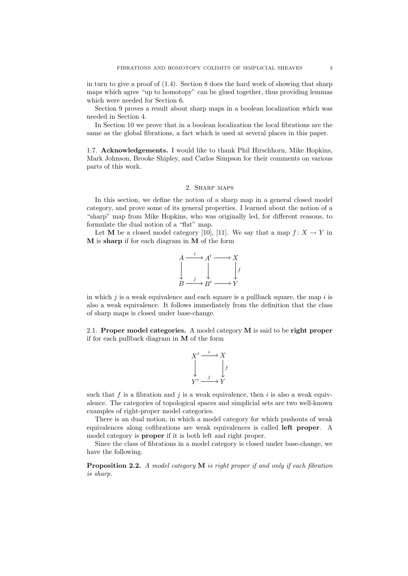in turn to give a proof of (1.4). Section 8 does the hard work of showing that sharp maps which agree "up to homotopy" can be glued together, thus providing lemmas which were needed for Section 6.

Section 9 proves a result about sharp maps in a boolean localization which was needed in Section 4.

In Section 10 we prove that in a boolean localization the local fibrations are the same as the global fibrations, a fact which is used at several places in this paper.

1.7. Acknowledgements. I would like to thank Phil Hirschhorn, Mike Hopkins, Mark Johnson, Brooke Shipley, and Carlos Simpson for their comments on various parts of this work.

# 2. Sharp maps

In this section, we define the notion of a sharp map in a general closed model category, and prove some of its general properties. I learned about the notion of a "sharp" map from Mike Hopkins, who was originally led, for different reasons, to formulate the dual notion of a "flat" map.

Let M be a closed model category [10], [11]. We say that a map  $f: X \to Y$  in M is sharp if for each diagram in M of the form



in which  $i$  is a weak equivalence and each square is a pullback square, the map i is also a weak equivalence. It follows immediately from the definition that the class of sharp maps is closed under base-change.

2.1. Proper model categories. A model category M is said to be right proper if for each pullback diagram in  $M$  of the form

$$
X' \xrightarrow{i} X
$$
  
\n
$$
\downarrow \qquad \qquad \downarrow f
$$
  
\n
$$
Y' \xrightarrow{j} Y
$$

such that  $f$  is a fibration and  $j$  is a weak equivalence, then  $i$  is also a weak equivalence. The categories of topological spaces and simplicial sets are two well-known examples of right-proper model categories.

There is an dual notion, in which a model category for which pushouts of weak equivalences along cofibrations are weak equivalences is called left proper. A model category is **proper** if it is both left and right proper.

Since the class of fibrations in a model category is closed under base-change, we have the following.

**Proposition 2.2.** A model category  $M$  is right proper if and only if each fibration is sharp.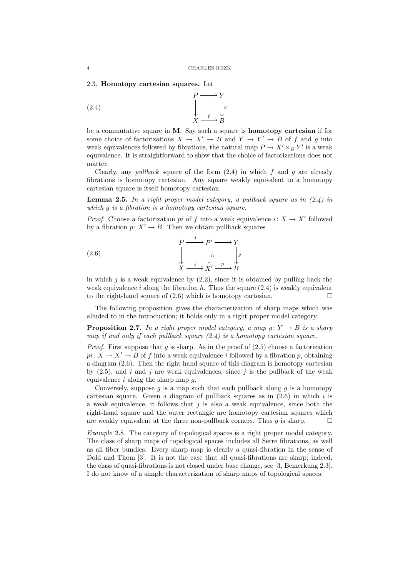2.3. Homotopy cartesian squares. Let



be a commutative square in M. Say such a square is homotopy cartesian if for some choice of factorizations  $X \to X' \to B$  and  $Y \to Y' \to B$  of f and g into weak equivalences followed by fibrations, the natural map  $P \to X' \times_B Y'$  is a weak equivalence. It is straightforward to show that the choice of factorizations does not matter.

Clearly, any *pullback* square of the form  $(2.4)$  in which f and q are already fibrations is homotopy cartesian. Any square weakly equivalent to a homotopy cartesian square is itself homotopy cartesian.

**Lemma 2.5.** In a right proper model category, a pullback square as in  $(2.4)$  in which g is a fibration is a homotopy cartesian square.

*Proof.* Choose a factorization *pi* of f into a weak equivalence  $i: X \to X'$  followed by a fibration  $p: X' \to B$ . Then we obtain pullback squares

(2.6) 
$$
\downarrow P \xrightarrow{i} P' \longrightarrow Y
$$

$$
\downarrow h \qquad \downarrow s
$$

$$
X \xrightarrow{i} X' \xrightarrow{p} B
$$

in which j is a weak equivalence by  $(2.2)$ , since it is obtained by pulling back the weak equivalence i along the fibration h. Thus the square  $(2.4)$  is weakly equivalent to the right-hand square of  $(2.6)$  which is homotopy cartesian.

The following proposition gives the characterization of sharp maps which was alluded to in the introduction; it holds only in a right proper model category.

**Proposition 2.7.** In a right proper model category, a map  $g: Y \to B$  is a sharp map if and only if each pullback square  $(2.4)$  is a homotopy cartesian square.

*Proof.* First suppose that g is sharp. As in the proof of  $(2.5)$  choose a factorization  $pi: X \to X' \to B$  of f into a weak equivalence i followed by a fibration p, obtaining a diagram (2.6). Then the right hand square of this diagram is homotopy cartesian by  $(2.5)$ , and i and j are weak equivalences, since j is the pullback of the weak equivalence  $i$  along the sharp map  $q$ .

Conversely, suppose  $g$  is a map such that each pullback along  $g$  is a homotopy cartesian square. Given a diagram of pullback squares as in  $(2.6)$  in which i is a weak equivalence, it follows that  $j$  is also a weak equivalence, since both the right-hand square and the outer rectangle are homotopy cartesian squares which are weakly equivalent at the three non-pullback corners. Thus  $g$  is sharp.  $\Box$ 

Example 2.8. The category of topological spaces is a right proper model category. The class of sharp maps of topological spaces includes all Serre fibrations, as well as all fiber bundles. Every sharp map is clearly a quasi-fibration in the sense of Dold and Thom [3]. It is not the case that all quasi-fibrations are sharp; indeed, the class of quasi-fibrations is not closed under base change, see [3, Bemerkung 2.3]. I do not know of a simple characterization of sharp maps of topological spaces.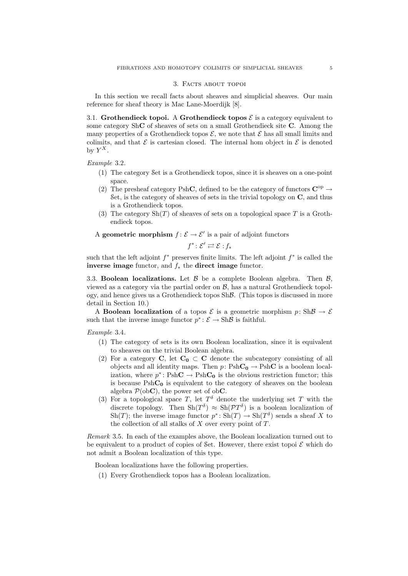#### 3. Facts about topoi

In this section we recall facts about sheaves and simplicial sheaves. Our main reference for sheaf theory is Mac Lane-Moerdijk [8].

3.1. Grothendieck topoi. A Grothendieck topos  $\mathcal E$  is a category equivalent to some category ShC of sheaves of sets on a small Grothendieck site C. Among the many properties of a Grothendieck topos  $\mathcal{E}$ , we note that  $\mathcal{E}$  has all small limits and colimits, and that  $\mathcal E$  is cartesian closed. The internal hom object in  $\mathcal E$  is denoted by  $Y^X$ .

Example 3.2.

- (1) The category Set is a Grothendieck topos, since it is sheaves on a one-point space.
- (2) The presheaf category PshC, defined to be the category of functors  $\mathbf{C}^{\mathrm{op}}$   $\rightarrow$ Set, is the category of sheaves of sets in the trivial topology on  $C$ , and thus is a Grothendieck topos.
- (3) The category  $\text{Sh}(T)$  of sheaves of sets on a topological space T is a Grothendieck topos.

A geometric morphism  $f: \mathcal{E} \to \mathcal{E}'$  is a pair of adjoint functors

$$
f^*\colon \mathcal{E}' \rightleftarrows \mathcal{E}: f_*
$$

such that the left adjoint  $f^*$  preserves finite limits. The left adjoint  $f^*$  is called the inverse image functor, and  $f_*$  the direct image functor.

3.3. **Boolean localizations.** Let  $\beta$  be a complete Boolean algebra. Then  $\beta$ , viewed as a category via the partial order on  $\mathcal{B}$ , has a natural Grothendieck topology, and hence gives us a Grothendieck topos ShB. (This topos is discussed in more detail in Section 10.)

A **Boolean localization** of a topos  $\mathcal{E}$  is a geometric morphism  $p: Sh\mathcal{B} \to \mathcal{E}$ such that the inverse image functor  $p^* : \mathcal{E} \to \text{Sh}\mathcal{B}$  is faithful.

Example 3.4.

- (1) The category of sets is its own Boolean localization, since it is equivalent to sheaves on the trivial Boolean algebra.
- (2) For a category C, let  $C_0 \subset C$  denote the subcategory consisting of all objects and all identity maps. Then  $p: PshC_0 \to PshC$  is a boolean localization, where  $p^* \text{ : } \text{PshC} \rightarrow \text{PshC}_0$  is the obvious restriction functor; this is because  $\mathrm{PshC}_0$  is equivalent to the category of sheaves on the boolean algebra  $\mathcal{P}(\text{ob} \mathbf{C})$ , the power set of ob $\mathbf{C}$ .
- (3) For a topological space T, let  $T^{\delta}$  denote the underlying set T with the discrete topology. Then  $\text{Sh}(T^{\delta}) \approx \text{Sh}(PT^{\delta})$  is a boolean localization of Sh(T); the inverse image functor  $p^* \text{: Sh}(T) \to \text{Sh}(T^{\delta})$  sends a sheaf X to the collection of all stalks of  $X$  over every point of  $T$ .

Remark 3.5. In each of the examples above, the Boolean localization turned out to be equivalent to a product of copies of Set. However, there exist topoi  $\mathcal E$  which do not admit a Boolean localization of this type.

Boolean localizations have the following properties.

(1) Every Grothendieck topos has a Boolean localization.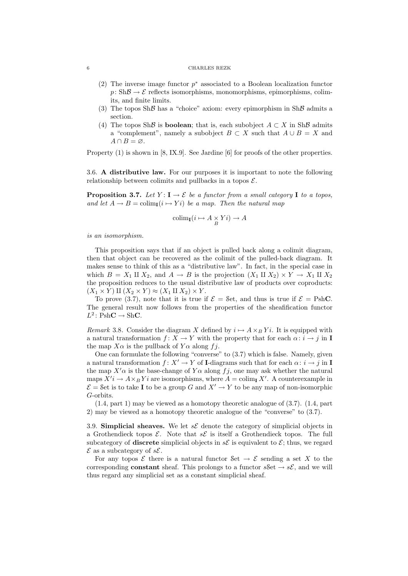### 6 CHARLES REZK

- (2) The inverse image functor  $p^*$  associated to a Boolean localization functor  $p: Sh\mathcal{B} \to \mathcal{E}$  reflects isomorphisms, monomorphisms, epimorphisms, colimits, and finite limits.
- (3) The topos Sh $\beta$  has a "choice" axiom: every epimorphism in Sh $\beta$  admits a section.
- (4) The topos ShB is **boolean**; that is, each subobject  $A \subset X$  in ShB admits a "complement", namely a subobject  $B \subset X$  such that  $A \cup B = X$  and  $A \cap B = \varnothing$ .

Property (1) is shown in [8, IX.9]. See Jardine [6] for proofs of the other properties.

3.6. A distributive law. For our purposes it is important to note the following relationship between colimits and pullbacks in a topos  $\mathcal{E}$ .

**Proposition 3.7.** Let  $Y: I \to \mathcal{E}$  be a functor from a small category I to a topos, and let  $A \to B = \text{colim}_{\mathbf{I}}(i \mapsto Y_i)$  be a map. Then the natural map

$$
\text{colim}_{\mathbf{I}}(i \mapsto A \underset{B}{\times} Yi) \to A
$$

is an isomorphism.

This proposition says that if an object is pulled back along a colimit diagram, then that object can be recovered as the colimit of the pulled-back diagram. It makes sense to think of this as a "distributive law". In fact, in the special case in which  $B = X_1 \amalg X_2$ , and  $A \to B$  is the projection  $(X_1 \amalg X_2) \times Y \to X_1 \amalg X_2$ the proposition reduces to the usual distributive law of products over coproducts:  $(X_1 \times Y) \amalg (X_2 \times Y) \approx (X_1 \amalg X_2) \times Y$ .

To prove (3.7), note that it is true if  $\mathcal{E} =$  Set, and thus is true if  $\mathcal{E} =$  PshC. The general result now follows from the properties of the sheafification functor  $L^2$ : PshC  $\rightarrow$  ShC.

Remark 3.8. Consider the diagram X defined by  $i \mapsto A \times_B Y i$ . It is equipped with a natural transformation  $f: X \to Y$  with the property that for each  $\alpha: i \to j$  in I the map  $X\alpha$  is the pullback of  $Y\alpha$  along fj.

One can formulate the following "converse" to (3.7) which is false. Namely, given a natural transformation  $f: X' \to Y$  of I-diagrams such that for each  $\alpha: i \to j$  in I the map  $X'$  as the base-change of  $Y$  a along  $f_j$ , one may ask whether the natural maps  $X'i \to A \times_B Yi$  are isomorphisms, where  $A = \text{colim}_{\mathbf{I}} X'$ . A counterexample in  $\mathcal{E} =$  Set is to take **I** to be a group G and  $X' \to Y$  to be any map of non-isomorphic G-orbits.

 $(1.4,$  part 1) may be viewed as a homotopy theoretic analogue of  $(3.7)$ .  $(1.4,$  part 2) may be viewed as a homotopy theoretic analogue of the "converse" to (3.7).

3.9. Simplicial sheaves. We let  $s\mathcal{E}$  denote the category of simplicial objects in a Grothendieck topos  $\mathcal{E}$ . Note that  $s\mathcal{E}$  is itself a Grothendieck topos. The full subcategory of **discrete** simplicial objects in  $s\mathcal{E}$  is equivalent to  $\mathcal{E}$ ; thus, we regard  $\mathcal E$  as a subcategory of  $s\mathcal E$ .

For any topos  $\mathcal E$  there is a natural functor Set  $\to \mathcal E$  sending a set X to the corresponding **constant** sheaf. This prolongs to a functor  $s$ Set  $\rightarrow s\mathcal{E}$ , and we will thus regard any simplicial set as a constant simplicial sheaf.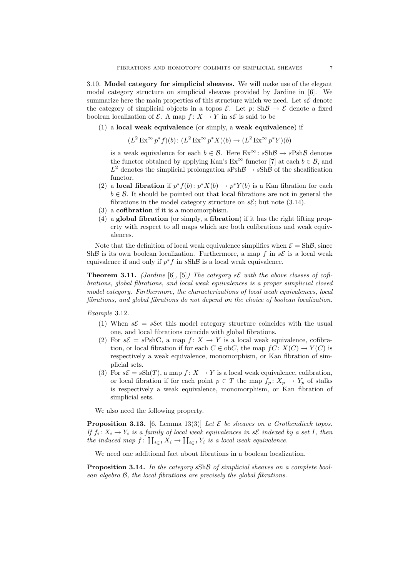3.10. Model category for simplicial sheaves. We will make use of the elegant model category structure on simplicial sheaves provided by Jardine in [6]. We summarize here the main properties of this structure which we need. Let  $s\mathcal{E}$  denote the category of simplicial objects in a topos  $\mathcal{E}$ . Let  $p: Sh\mathcal{B} \to \mathcal{E}$  denote a fixed boolean localization of  $\mathcal{E}$ . A map  $f: X \to Y$  in  $s\mathcal{E}$  is said to be

 $(1)$  a local weak equivalence (or simply, a weak equivalence) if

$$
(L2 Ex\infty p*f)(b): (L2 Ex\infty p*X)(b) \to (L2 Ex\infty p*Y)(b)
$$

is a weak equivalence for each  $b \in \mathcal{B}$ . Here  $Ex^{\infty}$ :  $sSh\mathcal{B} \to sPsh\mathcal{B}$  denotes the functor obtained by applying Kan's  $Ex^{\infty}$  functor [7] at each  $b \in \mathcal{B}$ , and  $L^2$  denotes the simplicial prolongation  $sPsh\mathcal{B} \to sSh\mathcal{B}$  of the sheafification functor.

- (2) a **local fibration** if  $p^* f(b)$ :  $p^* X(b) \to p^* Y(b)$  is a Kan fibration for each  $b \in \mathcal{B}$ . It should be pointed out that local fibrations are not in general the fibrations in the model category structure on  $s\mathcal{E}$ ; but note (3.14).
- (3) a cofibration if it is a monomorphism.
- (4) a global fibration (or simply, a fibration) if it has the right lifting property with respect to all maps which are both cofibrations and weak equivalences.

Note that the definition of local weak equivalence simplifies when  $\mathcal{E} = \text{Sh}\mathcal{B}$ , since ShB is its own boolean localization. Furthermore, a map f in  $s\mathcal{E}$  is a local weak equivalence if and only if  $p^*f$  in  $sSh\mathcal{B}$  is a local weak equivalence.

**Theorem 3.11.** (Jardine [6], [5]) The category  $s\mathcal{E}$  with the above classes of cofibrations, global fibrations, and local weak equivalences is a proper simplicial closed model category. Furthermore, the characterizations of local weak equivalences, local fibrations, and global fibrations do not depend on the choice of boolean localization.

Example 3.12.

- (1) When  $s\mathcal{E} = s\$ Set this model category structure coincides with the usual one, and local fibrations coincide with global fibrations.
- (2) For  $s\mathcal{E} = sPshC$ , a map  $f: X \to Y$  is a local weak equivalence, cofibration, or local fibration if for each  $C \in obC$ , the map  $fC: X(C) \to Y(C)$  is respectively a weak equivalence, monomorphism, or Kan fibration of simplicial sets.
- (3) For  $s\mathcal{E} = s\text{Sh}(T)$ , a map  $f: X \to Y$  is a local weak equivalence, cofibration, or local fibration if for each point  $p \in T$  the map  $f_p: X_p \to Y_p$  of stalks is respectively a weak equivalence, monomorphism, or Kan fibration of simplicial sets.

We also need the following property.

**Proposition 3.13.** [6, Lemma 13(3)] Let  $\mathcal{E}$  be sheaves on a Grothendieck topos. If  $f_i: X_i \to Y_i$  is a family of local weak equivalences in s $\mathcal E$  indexed by a set I, then the induced map  $f: \coprod_{i\in I} X_i \to \coprod_{i\in I} Y_i$  is a local weak equivalence.

We need one additional fact about fibrations in a boolean localization.

Proposition 3.14. In the category  $sSh\mathcal{B}$  of simplicial sheaves on a complete boolean algebra B, the local fibrations are precisely the global fibrations.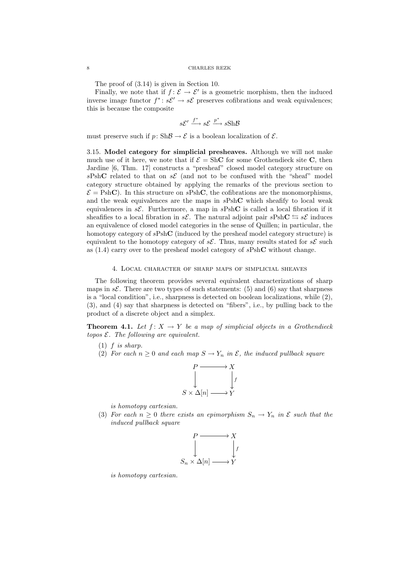The proof of (3.14) is given in Section 10.

Finally, we note that if  $f: \mathcal{E} \to \mathcal{E}'$  is a geometric morphism, then the induced inverse image functor  $f^* \colon s\mathcal{E}' \to s\mathcal{E}$  preserves cofibrations and weak equivalences; this is because the composite

$$
s\mathcal{E}' \xrightarrow{f^*} s\mathcal{E} \xrightarrow{p^*} s\mathbf{Sh}\mathcal{B}
$$

must preserve such if  $p: Sh\mathcal{B} \to \mathcal{E}$  is a boolean localization of  $\mathcal{E}.$ 

3.15. Model category for simplicial presheaves. Although we will not make much use of it here, we note that if  $\mathcal{E} = \text{ShC}$  for some Grothendieck site C, then Jardine [6, Thm. 17] constructs a "presheaf" closed model category structure on sPshC related to that on s $\mathcal E$  (and not to be confused with the "sheaf" model category structure obtained by applying the remarks of the previous section to  $\mathcal{E} = \text{PshC}$ . In this structure on sPshC, the cofibrations are the monomorphisms, and the weak equivalences are the maps in  $sPshC$  which sheafify to local weak equivalences in  $s\mathcal{E}$ . Furthermore, a map in  $sPshC$  is called a local fibration if it sheafifies to a local fibration in s. The natural adjoint pair  $sPshC \rightharpoonup sE$  induces an equivalence of closed model categories in the sense of Quillen; in particular, the homotopy category of  $sPshC$  (induced by the presheaf model category structure) is equivalent to the homotopy category of  $s\mathcal{E}$ . Thus, many results stated for  $s\mathcal{E}$  such as  $(1.4)$  carry over to the presheaf model category of  $sPshC$  without change.

## 4. Local character of sharp maps of simplicial sheaves

The following theorem provides several equivalent characterizations of sharp maps in  $s\mathcal{E}$ . There are two types of such statements: (5) and (6) say that sharpness is a "local condition", i.e., sharpness is detected on boolean localizations, while (2), (3), and (4) say that sharpness is detected on "fibers", i.e., by pulling back to the product of a discrete object and a simplex.

**Theorem 4.1.** Let  $f: X \to Y$  be a map of simplicial objects in a Grothendieck topos  $\mathcal{E}$ . The following are equivalent.

- $(1)$  f is sharp.
- (2) For each  $n \geq 0$  and each map  $S \to Y_n$  in  $\mathcal{E}$ , the induced pullback square

$$
\begin{array}{ccc}\nP & \longrightarrow & X \\
\downarrow & & \downarrow \\
S \times \Delta[n] & \longrightarrow & Y\n\end{array}
$$

is homotopy cartesian.

(3) For each  $n \geq 0$  there exists an epimorphism  $S_n \to Y_n$  in  $\mathcal E$  such that the induced pullback square



is homotopy cartesian.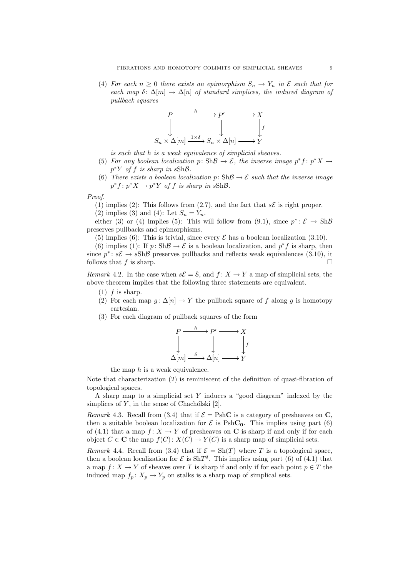(4) For each  $n \geq 0$  there exists an epimorphism  $S_n \to Y_n$  in  $\mathcal E$  such that for each map  $\delta: \Delta[m] \to \Delta[n]$  of standard simplices, the induced diagram of pullback squares



is such that h is a weak equivalence of simplicial sheaves.

- (5) For any boolean localization p: Sh $\mathcal{B} \to \mathcal{E}$ , the inverse image  $p^*f : p^*X \to$  $p^*Y$  of f is sharp in sShB.
- (6) There exists a boolean localization p:  $\text{Sh}\mathcal{B} \to \mathcal{E}$  such that the inverse image  $p^*f: p^*X \to p^*Y$  of f is sharp in sShB.

Proof.

(1) implies (2): This follows from (2.7), and the fact that  $s\mathcal{E}$  is right proper.

(2) implies (3) and (4): Let  $S_n = Y_n$ .

either (3) or (4) implies (5): This will follow from (9.1), since  $p^* : \mathcal{E} \to Sh\mathcal{B}$ preserves pullbacks and epimorphisms.

(5) implies (6): This is trivial, since every  $\mathcal E$  has a boolean localization (3.10).

(6) implies (1): If  $p: Sh\mathcal{B} \to \mathcal{E}$  is a boolean localization, and  $p^*f$  is sharp, then since  $p^* \colon s\mathcal{E} \to sSh\mathcal{B}$  preserves pullbacks and reflects weak equivalences (3.10), it follows that f is sharp.

Remark 4.2. In the case when  $s\mathcal{E} = \mathcal{S}$ , and  $f: X \to Y$  a map of simplicial sets, the above theorem implies that the following three statements are equivalent.

- $(1)$  f is sharp.
- (2) For each map  $g: \Delta[n] \to Y$  the pullback square of f along g is homotopy cartesian.
- (3) For each diagram of pullback squares of the form

$$
P \xrightarrow{h} P' \longrightarrow X
$$
  
\n
$$
\downarrow \qquad \qquad \downarrow \qquad \qquad \downarrow
$$
  
\n
$$
\Delta[m] \xrightarrow{\delta} \Delta[n] \longrightarrow Y
$$

the map  $h$  is a weak equivalence.

Note that characterization (2) is reminiscent of the definition of quasi-fibration of topological spaces.

A sharp map to a simplicial set Y induces a "good diagram" indexed by the simplices of  $Y$ , in the sense of Chachólski [2].

Remark 4.3. Recall from (3.4) that if  $\mathcal{E} = \text{PshC}$  is a category of presheaves on C, then a suitable boolean localization for  $\mathcal E$  is PshC<sub>0</sub>. This implies using part (6) of (4.1) that a map  $f: X \to Y$  of presheaves on C is sharp if and only if for each object  $C \in \mathbb{C}$  the map  $f(C): X(C) \to Y(C)$  is a sharp map of simplicial sets.

Remark 4.4. Recall from (3.4) that if  $\mathcal{E} = \text{Sh}(T)$  where T is a topological space. then a boolean localization for  $\mathcal E$  is  $\text{Sh}T^{\delta}$ . This implies using part (6) of (4.1) that a map  $f: X \to Y$  of sheaves over T is sharp if and only if for each point  $p \in T$  the induced map  $f_p: X_p \to Y_p$  on stalks is a sharp map of simplical sets.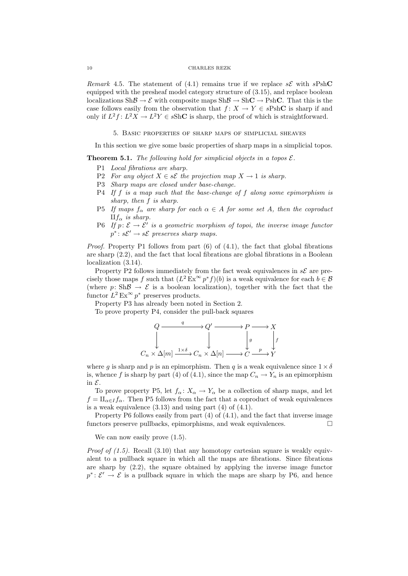Remark 4.5. The statement of (4.1) remains true if we replace  $s\mathcal{E}$  with  $sPshC$ equipped with the presheaf model category structure of (3.15), and replace boolean localizations  $\text{Sh}\mathcal{B} \to \mathcal{E}$  with composite maps  $\text{Sh}\mathcal{B} \to \text{Sh}\mathbf{C} \to \text{Psh}\mathbf{C}$ . That this is the case follows easily from the observation that  $f: X \to Y \in sPshC$  is sharp if and only if  $L^2f: L^2X \to L^2Y \in sShC$  is sharp, the proof of which is straightforward.

5. Basic properties of sharp maps of simplicial sheaves

In this section we give some basic properties of sharp maps in a simplicial topos.

**Theorem 5.1.** The following hold for simplicial objects in a topos  $\mathcal{E}$ .

- P1 Local fibrations are sharp.
- P2 For any object  $X \in s\mathcal{E}$  the projection map  $X \to 1$  is sharp.
- P3 Sharp maps are closed under base-change.
- $P4$  If f is a map such that the base-change of f along some epimorphism is sharp, then f is sharp.
- P5 If maps  $f_{\alpha}$  are sharp for each  $\alpha \in A$  for some set A, then the coproduct  $\prod f_{\alpha}$  is sharp.
- P6 If  $p: \mathcal{E} \to \mathcal{E}'$  is a geometric morphism of topoi, the inverse image functor  $p^* \colon s\mathcal{E}' \to s\mathcal{E}$  preserves sharp maps.

*Proof.* Property P1 follows from part  $(6)$  of  $(4.1)$ , the fact that global fibrations are sharp (2.2), and the fact that local fibrations are global fibrations in a Boolean localization (3.14).

Property P2 follows immediately from the fact weak equivalences in  $s\mathcal{E}$  are precisely those maps f such that  $(L^2 \to \infty^{\infty} p^* f)(b)$  is a weak equivalence for each  $b \in \mathcal{B}$ (where  $p: Sh\mathcal{B} \to \mathcal{E}$  is a boolean localization), together with the fact that the functor  $L^2 \to \infty$   $p^*$  preserves products.

Property P3 has already been noted in Section 2.

To prove property P4, consider the pull-back squares

$$
Q \xrightarrow{q} Q' \xrightarrow{q} P \longrightarrow X
$$
  

$$
\downarrow \qquad \qquad \downarrow \qquad \qquad \downarrow \qquad \qquad P \longrightarrow X
$$
  

$$
C_n \times \Delta[m] \xrightarrow{1 \times \delta} C_n \times \Delta[n] \longrightarrow C \xrightarrow{p} Y
$$

where g is sharp and p is an epimorphism. Then q is a weak equivalence since  $1 \times \delta$ is, whence f is sharp by part (4) of (4.1), since the map  $C_n \to Y_n$  is an epimorphism in E.

To prove property P5, let  $f_{\alpha} : X_{\alpha} \to Y_{\alpha}$  be a collection of sharp maps, and let  $f = \prod_{\alpha \in I} f_{\alpha}$ . Then P5 follows from the fact that a coproduct of weak equivalences is a weak equivalence  $(3.13)$  and using part  $(4)$  of  $(4.1)$ .

Property P6 follows easily from part (4) of (4.1), and the fact that inverse image functors preserve pullbacks, epimorphisms, and weak equivalences.

We can now easily prove  $(1.5)$ .

*Proof of*  $(1.5)$ *.* Recall  $(3.10)$  that any homotopy cartesian square is weakly equivalent to a pullback square in which all the maps are fibrations. Since fibrations are sharp by (2.2), the square obtained by applying the inverse image functor  $p^* \colon \mathcal{E}' \to \mathcal{E}$  is a pullback square in which the maps are sharp by P6, and hence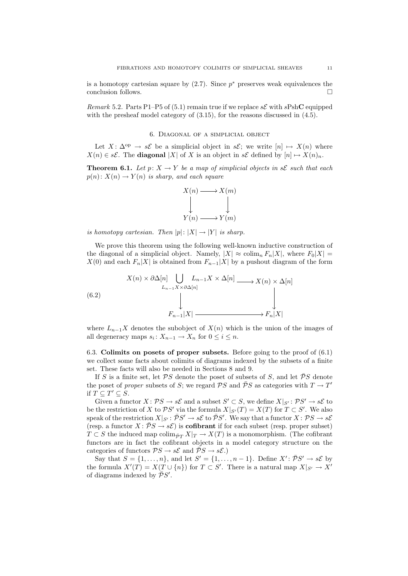is a homotopy cartesian square by  $(2.7)$ . Since  $p^*$  preserves weak equivalences the conclusion follows.

Remark 5.2. Parts P1–P5 of (5.1) remain true if we replace  $s\mathcal{E}$  with  $sPshC$  equipped with the presheaf model category of  $(3.15)$ , for the reasons discussed in  $(4.5)$ .

# 6. Diagonal of a simplicial object

Let  $X: \Delta^{op} \to s\mathcal{E}$  be a simplicial object in  $s\mathcal{E}$ ; we write  $[n] \mapsto X(n)$  where  $X(n) \in s\mathcal{E}$ . The **diagonal** |X| of X is an object in  $s\mathcal{E}$  defined by  $[n] \mapsto X(n)_n$ .

**Theorem 6.1.** Let  $p: X \to Y$  be a map of simplicial objects in s $\mathcal{E}$  such that each  $p(n): X(n) \to Y(n)$  is sharp, and each square



is homotopy cartesian. Then  $|p|: |X| \to |Y|$  is sharp.

We prove this theorem using the following well-known inductive construction of the diagonal of a simplicial object. Namely,  $|X| \approx \text{colim}_n F_n |X|$ , where  $F_0 |X| =$  $X(0)$  and each  $F_n|X|$  is obtained from  $F_{n-1}|X|$  by a pushout diagram of the form

(6.2) 
$$
X(n) \times \partial \Delta[n] \bigcup_{L_{n-1}X \times \partial \Delta[n]} L_{n-1}X \times \Delta[n] \longrightarrow X(n) \times \Delta[n]
$$

$$
\downarrow
$$

$$
F_{n-1}|X| \longrightarrow F_n|X|
$$

where  $L_{n-1}X$  denotes the subobject of  $X(n)$  which is the union of the images of all degeneracy maps  $s_i: X_{n-1} \to X_n$  for  $0 \le i \le n$ .

6.3. Colimits on posets of proper subsets. Before going to the proof of (6.1) we collect some facts about colimits of diagrams indexed by the subsets of a finite set. These facts will also be needed in Sections 8 and 9.

If S is a finite set, let  $\mathcal{P}S$  denote the poset of subsets of S, and let  $\bar{\mathcal{P}}S$  denote the poset of proper subsets of S; we regard  $\overline{P}S$  and  $\overline{P}S$  as categories with  $T \to T'$ if  $T \subseteq T' \subseteq S$ .

Given a functor  $X: \mathcal{P}S \to s\mathcal{E}$  and a subset  $S' \subset S$ , we define  $X|_{S'}: \mathcal{P}S' \to s\mathcal{E}$  to be the restriction of X to  $\mathcal{P}S'$  via the formula  $X|_{S'}(T) = X(T)$  for  $T \subset S'$ . We also speak of the restriction  $X|_{S'} : \overline{\mathcal{P}}S' \to s\mathcal{E}$  to  $\overline{\mathcal{P}}S'$ . We say that a functor  $X : \mathcal{P}S \to s\mathcal{E}$ (resp. a functor  $X: \overline{P}S \to s\mathcal{E}$ ) is **cofibrant** if for each subset (resp. proper subset)  $T \subset S$  the induced map colim<sub> $\bar{p}_T X|_T \to X(T)$  is a monomorphism. (The cofibrant</sub> functors are in fact the cofibrant objects in a model category structure on the categories of functors  $\mathcal{P}S \to s\mathcal{E}$  and  $\mathcal{P}S \to s\mathcal{E}$ .)

Say that  $S = \{1, \ldots, n\}$ , and let  $S' = \{1, \ldots, n-1\}$ . Define  $X' : \overline{\mathcal{P}}S' \to s\mathcal{E}$  by the formula  $X'(T) = X(T \cup \{n\})$  for  $T \subset S'$ . There is a natural map  $X|_{S'} \to X'$ of diagrams indexed by  $\overline{\overline{\mathcal{P}}}S'.$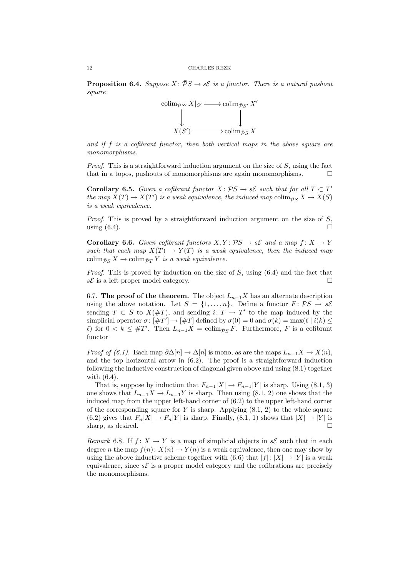**Proposition 6.4.** Suppose  $X : PS \rightarrow s\mathcal{E}$  is a functor. There is a natural pushout square



and if  $f$  is a cofibrant functor, then both vertical maps in the above square are monomorphisms.

*Proof.* This is a straightforward induction argument on the size of  $S$ , using the fact that in a topos, pushouts of monomorphisms are again monomorphisms.

**Corollary 6.5.** Given a cofibrant functor  $X: PS \rightarrow s\mathcal{E}$  such that for all  $T \subset T'$ the map  $X(T) \to X(T')$  is a weak equivalence, the induced map colim<sub>p</sub><sub>S</sub>  $X \to X(S)$ is a weak equivalence.

Proof. This is proved by a straightforward induction argument on the size of S, using  $(6.4)$ .

**Corollary 6.6.** Given cofibrant functors  $X, Y: \overline{P}S \rightarrow s\mathcal{E}$  and a map  $f: X \rightarrow Y$ such that each map  $X(T) \to Y(T)$  is a weak equivalence, then the induced map colim<sub> $\bar{P}$ S</sub> X  $\rightarrow$  colim<sub> $\bar{P}T$ </sub> Y is a weak equivalence.

*Proof.* This is proved by induction on the size of  $S$ , using  $(6.4)$  and the fact that  $s\mathcal{E}$  is a left proper model category.

6.7. The proof of the theorem. The object  $L_{n-1}X$  has an alternate description using the above notation. Let  $S = \{1, ..., n\}$ . Define a functor  $F: \mathcal{P}S \to s\mathcal{E}$ sending  $T \subset S$  to  $X(\#T)$ , and sending  $i: T \to T'$  to the map induced by the simplicial operator  $\sigma: [\#T'] \to [\#T]$  defined by  $\sigma(0) = 0$  and  $\sigma(k) = \max(\ell | i(k)) \le$  $\ell$ ) for 0 <  $k \leq #T'$ . Then  $L_{n-1}X = \operatorname{colim}_{\bar{P}S}F$ . Furthermore, F is a cofibrant functor

*Proof of (6.1).* Each map  $\partial \Delta[n] \to \Delta[n]$  is mono, as are the maps  $L_{n-1}X \to X(n)$ , and the top horizontal arrow in (6.2). The proof is a straightforward induction following the inductive construction of diagonal given above and using (8.1) together with (6.4).

That is, suppose by induction that  $F_{n-1}|X| \to F_{n-1}|Y|$  is sharp. Using (8.1, 3) one shows that  $L_{n-1}X \to L_{n-1}Y$  is sharp. Then using (8.1, 2) one shows that the induced map from the upper left-hand corner of (6.2) to the upper left-hand corner of the corresponding square for  $Y$  is sharp. Applying  $(8.1, 2)$  to the whole square (6.2) gives that  $F_n|X| \to F_n|Y|$  is sharp. Finally, (8.1, 1) shows that  $|X| \to |Y|$  is sharp, as desired.  $\square$ 

Remark 6.8. If  $f: X \to Y$  is a map of simplicial objects in  $s\mathcal{E}$  such that in each degree n the map  $f(n): X(n) \to Y(n)$  is a weak equivalence, then one may show by using the above inductive scheme together with (6.6) that  $|f|: |X| \to |Y|$  is a weak equivalence, since  $s\mathcal{E}$  is a proper model category and the cofibrations are precisely the monomorphisms.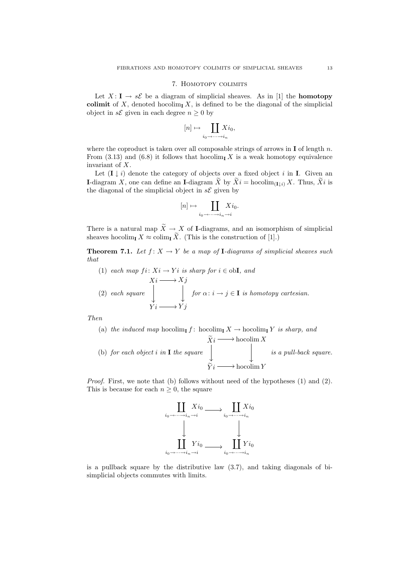### 7. Homotopy colimits

Let  $X: I \to s\mathcal{E}$  be a diagram of simplicial sheaves. As in [1] the **homotopy** colimit of X, denoted hocolim<sub>I</sub> X, is defined to be the diagonal of the simplicial object in  $s\mathcal{E}$  given in each degree  $n \geq 0$  by

$$
[n] \mapsto \coprod_{i_0 \to \cdots \to i_n} X i_0,
$$

where the coproduct is taken over all composable strings of arrows in  $\mathbf I$  of length n. From (3.13) and (6.8) it follows that hocolim<sub>I</sub> X is a weak homotopy equivalence invariant of X.

Let  $(I \downarrow i)$  denote the category of objects over a fixed object i in I. Given an I-diagram X, one can define an I-diagram  $\widetilde{X}$  by  $\widetilde{X}i = \text{hocolim}_{(I\downarrow i)} X$ . Thus,  $\widetilde{X}i$  is the diagonal of the simplicial object in  $s\mathcal{E}$  given by

$$
[n] \mapsto \coprod_{i_0 \to \cdots \to i_n \to i} X i_0.
$$

There is a natural map  $\widetilde{X} \to X$  of I-diagrams, and an isomorphism of simplicial sheaves hocolim<sub>I</sub>  $X \approx \operatorname{colim}_{\mathbf{I}} \widetilde{X}$ . (This is the construction of [1].)

**Theorem 7.1.** Let  $f: X \to Y$  be a map of **I**-diagrams of simplicial sheaves such that

(1) each map 
$$
fi: Xi \rightarrow Yi
$$
 is sharp for  $i \in \text{obI}$ , and  $Xi \longrightarrow Xj$ \n(2) each square  $\downarrow \qquad \qquad$  for  $\alpha: i \rightarrow j \in I$  is homotopy cartesian.  $Yi \longrightarrow Yj$ 

Then

\n- (a) the induced map 
$$
h \circ \text{codim}_{\mathbf{I}} f
$$
:  $h \circ \text{codim}_{\mathbf{I}} X \to \text{hocolim}_{\mathbf{I}} Y$  is sharp, and
\n- (b) for each object  $i$  in  $\mathbf{I}$  the square
\n- $\overline{Y}i \longrightarrow \text{hocolim } Y$  is a pull-back square.
\n- $\overline{Y}i \longrightarrow \text{hocolim } Y$
\n

Proof. First, we note that (b) follows without need of the hypotheses (1) and (2). This is because for each  $n \geq 0$ , the square



is a pullback square by the distributive law (3.7), and taking diagonals of bisimplicial objects commutes with limits.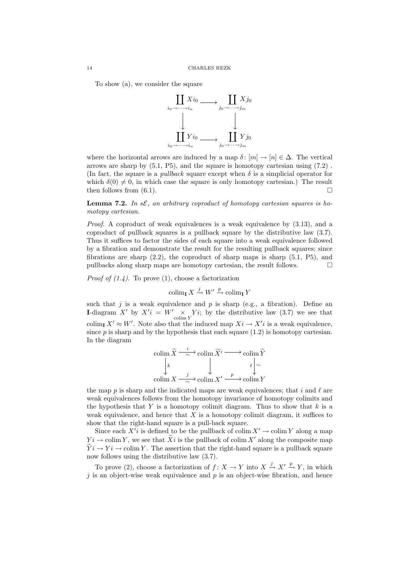To show (a), we consider the square



where the horizontal arrows are induced by a map  $\delta: [m] \to [n] \in \Delta$ . The vertical arrows are sharp by  $(5.1, P5)$ , and the square is homotopy cartesian using  $(7.2)$ . (In fact, the square is a *pullback* square except when  $\delta$  is a simplicial operator for which  $\delta(0) \neq 0$ , in which case the square is only homotopy cartesian.) The result then follows from (6.1).

**Lemma 7.2.** In  $s\mathcal{E}$ , an arbitrary coproduct of homotopy cartesian squares is homotopy cartesian.

*Proof.* A coproduct of weak equivalences is a weak equivalence by  $(3.13)$ , and a coproduct of pullback squares is a pullback square by the distributive law (3.7). Thus it suffices to factor the sides of each square into a weak equivalence followed by a fibration and demonstrate the result for the resulting pullback squares; since fibrations are sharp  $(2.2)$ , the coproduct of sharp maps is sharp  $(5.1, P5)$ , and pullbacks along sharp maps are homotopy cartesian, the result follows.

*Proof of*  $(1.4)$ *.* To prove  $(1)$ , choose a factorization

 $\operatorname{colim}_{\mathbf{I}} X \xrightarrow{j} W' \xrightarrow{p} \operatorname{colim}_{\mathbf{I}} Y$ 

such that j is a weak equivalence and p is sharp (e.g., a fibration). Define an **I-diagram** X' by  $X'i = W' \times Y_i$ ; by the distributive law  $(3.7)$  we see that colim<sub>I</sub>  $X' \approx W'$ . Note also that the induced map  $Xi \rightarrow X'i$  is a weak equivalence, since  $p$  is sharp and by the hypothesis that each square  $(1.2)$  is homotopy cartesian. In the diagram

$$
\operatorname{colim} \widetilde{X} \xrightarrow{i} \operatorname{colim} \widetilde{X'} \longrightarrow \operatorname{colim} \widetilde{Y}
$$
\n
$$
\downarrow k \qquad \qquad \downarrow \qquad \qquad \downarrow \qquad \qquad \downarrow
$$
\n
$$
\operatorname{colim} X \xrightarrow{j} \operatorname{colim} X' \xrightarrow{p} \operatorname{colim} Y
$$

the map p is sharp and the indicated maps are weak equivalences; that i and  $\ell$  are weak equivalences follows from the homotopy invariance of homotopy colimits and the hypothesis that Y is a homotopy colimit diagram. Thus to show that  $k$  is a weak equivalence, and hence that  $X$  is a homotopy colimit diagram, it suffices to show that the right-hand square is a pull-back square.

Since each  $X^{\prime i}$  is defined to be the pullback of colim  $X^{\prime} \to \text{colim } Y$  along a map  $Y_i \to \text{colim } Y$ , we see that  $\tilde{X}_i$  is the pullback of colim X' along the composite map  $\widetilde{Y}i \to Yi \to \text{colim } Y$ . The assertion that the right-hand square is a pullback square now follows using the distributive law (3.7).

To prove (2), choose a factorization of  $f: X \to Y$  into  $X \xrightarrow{j} X' \xrightarrow{p} Y$ , in which j is an object-wise weak equivalence and  $p$  is an object-wise fibration, and hence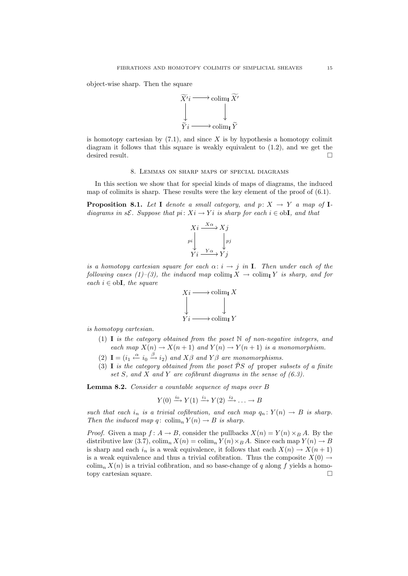object-wise sharp. Then the square



is homotopy cartesian by  $(7.1)$ , and since X is by hypothesis a homotopy colimit diagram it follows that this square is weakly equivalent to (1.2), and we get the desired result.

# 8. Lemmas on sharp maps of special diagrams

In this section we show that for special kinds of maps of diagrams, the induced map of colimits is sharp. These results were the key element of the proof of  $(6.1)$ .

**Proposition 8.1.** Let I denote a small category, and  $p: X \rightarrow Y$  a map of Idiagrams in sE. Suppose that  $pi: X_i \to Y_i$  is sharp for each  $i \in \text{obI}$ , and that



is a homotopy cartesian square for each  $\alpha: i \rightarrow j$  in I. Then under each of the following cases (1)–(3), the induced map colim<sub>I</sub>  $X \to \text{colim}_{\textbf{I}} Y$  is sharp, and for each  $i \in \text{obj},$  the square



is homotopy cartesian.

- (1) I is the category obtained from the poset  $\mathbb N$  of non-negative integers, and each map  $X(n) \to X(n+1)$  and  $Y(n) \to Y(n+1)$  is a monomorphism.
- (2)  $I = (i_1 \stackrel{\alpha}{\leftarrow} i_0 \stackrel{\beta}{\rightarrow} i_2)$  and  $X\beta$  and  $Y\beta$  are monomorphisms.
- (3) I is the category obtained from the poset  $\overline{P}S$  of proper subsets of a finite set S, and X and Y are cofibrant diagrams in the sense of  $(6.3)$ .

Lemma 8.2. Consider a countable sequence of maps over B

$$
Y(0) \xrightarrow{i_0} Y(1) \xrightarrow{i_1} Y(2) \xrightarrow{i_2} \dots \to B
$$

such that each i<sub>n</sub> is a trivial cofibration, and each map  $q_n: Y(n) \to B$  is sharp. Then the induced map q:  $\text{colim}_n Y(n) \to B$  is sharp.

*Proof.* Given a map  $f: A \to B$ , consider the pullbacks  $X(n) = Y(n) \times_B A$ . By the distributive law (3.7),  $\text{colim}_n X(n) = \text{colim}_n Y(n) \times_B A$ . Since each map  $Y(n) \to B$ is sharp and each  $i_n$  is a weak equivalence, it follows that each  $X(n) \to X(n+1)$ is a weak equivalence and thus a trivial cofibration. Thus the composite  $X(0) \rightarrow$  $\operatorname{colim}_n X(n)$  is a trivial cofibration, and so base-change of q along f yields a homotopy cartesian square.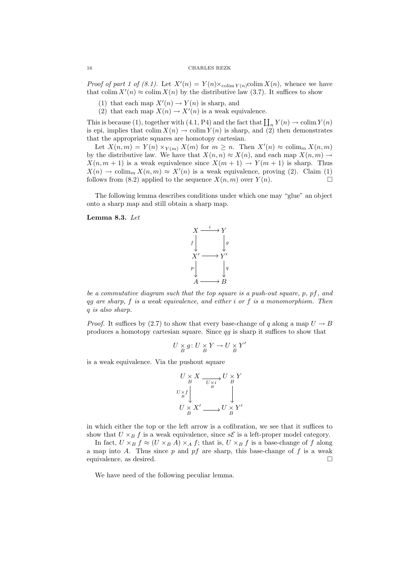### 16 CHARLES REZK

*Proof of part 1 of (8.1)*. Let  $X'(n) = Y(n) \times_{\text{colim } Y(n)} \text{colim } X(n)$ , whence we have that colim  $X'(n) \approx \text{colim } X(n)$  by the distributive law (3.7). It suffices to show

- (1) that each map  $X'(n) \to Y(n)$  is sharp, and
- (2) that each map  $X(n) \to X'(n)$  is a weak equivalence.

This is because (1), together with (4.1, P4) and the fact that  $\prod_n Y(n) \to \text{colim } Y(n)$ is epi, implies that  $\text{colim } X(n) \to \text{colim } Y(n)$  is sharp, and (2) then demonstrates that the appropriate squares are homotopy cartesian.

Let  $X(n,m) = Y(n) \times_{Y(m)} X(m)$  for  $m \geq n$ . Then  $X'(n) \approx \operatorname{colim}_m X(n,m)$ by the distributive law. We have that  $X(n,n) \approx X(n)$ , and each map  $X(n,m) \to$  $X(n, m + 1)$  is a weak equivalence since  $X(m + 1) \rightarrow Y(m + 1)$  is sharp. Thus  $X(n) \to \text{colim}_m X(n,m) \approx X'(n)$  is a weak equivalence, proving (2). Claim (1) follows from (8.2) applied to the sequence  $X(n, m)$  over  $Y(n)$ .

The following lemma describes conditions under which one may "glue" an object onto a sharp map and still obtain a sharp map.

### Lemma 8.3. Let



be a commutative diagram such that the top square is a push-out square, p, pf, and qq are sharp,  $f$  is a weak equivalence, and either  $i$  or  $f$  is a monomorphism. Then q is also sharp.

*Proof.* It suffices by (2.7) to show that every base-change of q along a map  $U \rightarrow B$ produces a homotopy cartesian square. Since qg is sharp it suffices to show that

$$
U \underset{B}{\times} g \colon U \underset{B}{\times} Y \to U \underset{B}{\times} Y'
$$

is a weak equivalence. Via the pushout square

$$
U \times X \xrightarrow{U \times X} U \times Y
$$
  

$$
U \times f
$$
  

$$
U \times X'
$$
  

$$
U \times X'
$$
  

$$
U \times Y'
$$

in which either the top or the left arrow is a cofibration, we see that it suffices to show that  $U \times_B f$  is a weak equivalence, since  $s\mathcal{E}$  is a left-proper model category.

In fact,  $U \times_B f \approx (U \times_B A) \times_A f$ ; that is,  $U \times_B f$  is a base-change of f along a map into A. Thus since  $p$  and  $pf$  are sharp, this base-change of  $f$  is a weak equivalence, as desired.

We have need of the following peculiar lemma.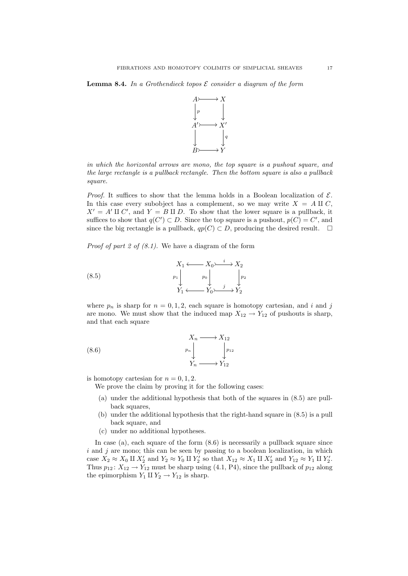**Lemma 8.4.** In a Grothendieck topos  $\mathcal E$  consider a diagram of the form



in which the horizontal arrows are mono, the top square is a pushout square, and the large rectangle is a pullback rectangle. Then the bottom square is also a pullback square.

*Proof.* It suffices to show that the lemma holds in a Boolean localization of  $\mathcal{E}$ . In this case every subobject has a complement, so we may write  $X = A \amalg C$ ,  $X' = A' \amalg C'$ , and  $Y = B \amalg D$ . To show that the lower square is a pullback, it suffices to show that  $q(C') \subset D$ . Since the top square is a pushout,  $p(C) = C'$ , and since the big rectangle is a pullback,  $qp(C) \subset D$ , producing the desired result.  $\square$ 

*Proof of part 2 of (8.1)*. We have a diagram of the form

(8.5) 
$$
X_1 \longleftrightarrow X_0 \longrightarrow X_2
$$

$$
p_1 \downarrow p_0 \downarrow \downarrow p_2
$$

$$
Y_1 \longleftrightarrow Y_0 \longrightarrow Y_2
$$

where  $p_n$  is sharp for  $n = 0, 1, 2$ , each square is homotopy cartesian, and i and j are mono. We must show that the induced map  $X_{12} \rightarrow Y_{12}$  of pushouts is sharp, and that each square

(8.6) 
$$
X_n \longrightarrow X_{12}
$$

$$
p_n \downarrow \qquad p_{12}
$$

$$
Y_n \longrightarrow Y_{12}
$$

is homotopy cartesian for  $n = 0, 1, 2$ .

We prove the claim by proving it for the following cases:

- (a) under the additional hypothesis that both of the squares in (8.5) are pullback squares,
- (b) under the additional hypothesis that the right-hand square in (8.5) is a pull back square, and
- (c) under no additional hypotheses.

In case (a), each square of the form  $(8.6)$  is necessarily a pullback square since  $i$  and  $j$  are mono; this can be seen by passing to a boolean localization, in which case  $X_2 \approx X_0 \amalg X_2'$  and  $Y_2 \approx Y_0 \amalg Y_2'$  so that  $X_{12} \approx X_1 \amalg X_2'$  and  $Y_{12} \approx Y_1 \amalg Y_2'$ . Thus  $p_{12}$ :  $X_{12} \rightarrow Y_{12}$  must be sharp using (4.1, P4), since the pullback of  $p_{12}$  along the epimorphism  $Y_1 \amalg Y_2 \rightarrow Y_{12}$  is sharp.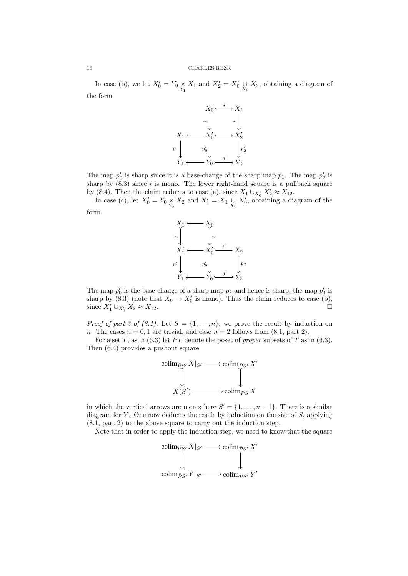In case (b), we let  $X'_0 = Y_0 \underset{Y_1}{\times} X_1$  and  $X'_2 = X'_0 \underset{X_0}{\cup} X_2$ , obtaining a diagram of the form



The map  $p'_0$  is sharp since it is a base-change of the sharp map  $p_1$ . The map  $p'_2$  is sharp by  $(8.3)$  since i is mono. The lower right-hand square is a pullback square by (8.4). Then the claim reduces to case (a), since  $X_1 \cup_{X'_0} X'_2 \approx X_{12}$ .

In case (c), let  $X'_0 = Y_0 \underset{Y_2}{\times} X_2$  and  $X'_1 = X_1 \underset{X_0}{\cup} X'_0$ , obtaining a diagram of the form



The map  $p'_0$  is the base-change of a sharp map  $p_2$  and hence is sharp; the map  $p'_1$  is sharp by  $(8.3)$  (note that  $X_0 \to X'_0$  is mono). Thus the claim reduces to case (b), since  $X'_1 \cup_{X'_0}$  $\frac{1}{2} \times X_2 \approx X_{12}.$ 

*Proof of part 3 of (8.1).* Let  $S = \{1, \ldots, n\}$ ; we prove the result by induction on n. The cases  $n = 0, 1$  are trivial, and case  $n = 2$  follows from (8.1, part 2).

For a set T, as in (6.3) let  $\bar{P}T$  denote the poset of proper subsets of T as in (6.3). Then (6.4) provides a pushout square



in which the vertical arrows are mono; here  $S' = \{1, \ldots, n-1\}$ . There is a similar diagram for  $Y$ . One now deduces the result by induction on the size of  $S$ , applying (8.1, part 2) to the above square to carry out the induction step.

Note that in order to apply the induction step, we need to know that the square

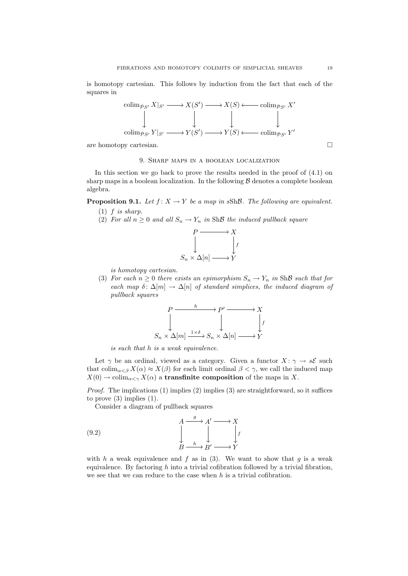is homotopy cartesian. This follows by induction from the fact that each of the squares in



# 9. Sharp maps in a boolean localization

In this section we go back to prove the results needed in the proof of (4.1) on sharp maps in a boolean localization. In the following  $\beta$  denotes a complete boolean algebra.

**Proposition 9.1.** Let  $f: X \to Y$  be a map in sShB. The following are equivalent.

- $(1)$  f is sharp.
- (2) For all  $n \geq 0$  and all  $S_n \to Y_n$  in ShB the induced pullback square



is homotopy cartesian.

(3) For each  $n \geq 0$  there exists an epimorphism  $S_n \to Y_n$  in ShB such that for each map  $\delta: \Delta[m] \to \Delta[n]$  of standard simplices, the induced diagram of pullback squares



is such that h is a weak equivalence.

Let  $\gamma$  be an ordinal, viewed as a category. Given a functor  $X: \gamma \to s\mathcal{E}$  such that colim<sub>α $\lt \beta$ </sub>  $X(\alpha) \approx X(\beta)$  for each limit ordinal  $\beta < \gamma$ , we call the induced map  $X(0) \to \text{colim}_{\alpha \leq \gamma} X(\alpha)$  a transfinite composition of the maps in X.

*Proof.* The implications  $(1)$  implies  $(2)$  implies  $(3)$  are straightforward, so it suffices to prove  $(3)$  implies  $(1)$ .

Consider a diagram of pullback squares

(9.2) 
$$
\begin{array}{ccc}\n & A & \xrightarrow{g} & A' & \longrightarrow X \\
 & \downarrow & & \downarrow & \\
 & B & \xrightarrow{h} & B' & \longrightarrow Y\n\end{array}
$$

with h a weak equivalence and f as in  $(3)$ . We want to show that g is a weak equivalence. By factoring  $h$  into a trivial cofibration followed by a trivial fibration, we see that we can reduce to the case when  $h$  is a trivial cofibration.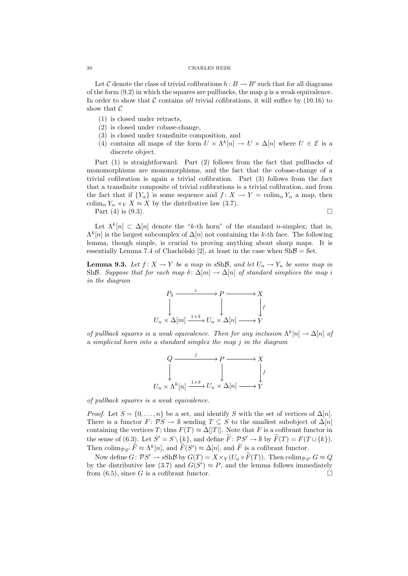### 20 CHARLES REZK

Let C denote the class of trivial cofibrations  $h: B \to B'$  such that for all diagrams of the form  $(9.2)$  in which the squares are pullbacks, the map q is a weak equivalence. In order to show that  $\mathcal C$  contains all trivial cofibrations, it will suffice by (10.16) to show that  $C$ 

- (1) is closed under retracts,
- (2) is closed under cobase-change,
- (3) is closed under transfinite composition, and
- (4) contains all maps of the form  $U \times \Lambda^k[n] \to U \times \Lambda[n]$  where  $U \in \mathcal{E}$  is a discrete object.

Part (1) is straightforward. Part (2) follows from the fact that pullbacks of monomorphisms are monomorphisms, and the fact that the cobase-change of a trivial cofibration is again a trivial cofibration. Part (3) follows from the fact that a transfinite composite of trivial cofibrations is a trivial cofibration, and from the fact that if  ${Y_\alpha}$  is some sequence and  $f: X \to Y = \text{colim}_{\alpha} Y_\alpha$  a map, then colim<sub>α</sub>  $Y_\alpha \times_Y X \approx X$  by the distributive law (3.7).

Part (4) is (9.3).

$$
\overline{a}
$$

Let  $\Lambda^k[n] \subset \Delta[n]$  denote the "k-th horn" of the standard n-simplex; that is,  $\Lambda^k[n]$  is the largest subcomplex of  $\Delta[n]$  not containing the k-th face. The following lemma, though simple, is crucial to proving anything about sharp maps. It is essentially Lemma 7.4 of Chachólski [2], at least in the case when  $\text{Sh}\mathcal{B} = \text{Set}$ .

**Lemma 9.3.** Let  $f: X \to Y$  be a map in sShB, and let  $U_n \to Y_n$  be some map in ShB. Suppose that for each map  $\delta: \Delta[m] \to \Delta[n]$  of standard simplices the map i in the diagram



of pullback squares is a weak equivalence. Then for any inclusion  $\Lambda^k[n] \to \Delta[n]$  of a simplicial horn into a standard simplex the map j in the diagram

$$
Q \xrightarrow{j} P \xrightarrow{\longrightarrow} X
$$
  

$$
\downarrow \qquad \qquad \downarrow
$$
  

$$
U_n \times \Lambda^k[n] \xrightarrow{1 \times \delta} U_n \times \Delta[n] \xrightarrow{\longrightarrow} Y
$$

of pullback squares is a weak equivalence.

*Proof.* Let  $S = \{0, \ldots, n\}$  be a set, and identify S with the set of vertices of  $\Delta[n]$ . There is a functor  $F: \mathcal{P}S \to \mathcal{S}$  sending  $T \subseteq S$  to the smallest subobject of  $\Delta[n]$ containing the vertices T; thus  $F(T) \approx \Delta ||T||$ . Note that F is a cofibrant functor in the sense of (6.3). Let  $S' = S \setminus \{k\}$ , and define  $\widetilde{F} : \mathcal{P}S' \to \mathcal{S}$  by  $\widetilde{F}(T) = F(T \cup \{k\})$ . Then colim<sub>ps</sub>,  $\widetilde{F} \approx \Lambda^k[n]$ , and  $\widetilde{F}(S') \approx \Delta[n]$ , and  $\widetilde{F}$  is a cofibrant functor.

Now define  $G: \mathcal{PS}' \to sSh\mathcal{B}$  by  $G(T) = X \times_Y (U_n \times \widetilde{F}(T))$ . Then  $\text{colim}_{\bar{\mathcal{PS}}'} G \approx Q$ by the distributive law (3.7) and  $G(S') \approx P$ , and the lemma follows immediately from  $(6.5)$ , since G is a cofibrant functor.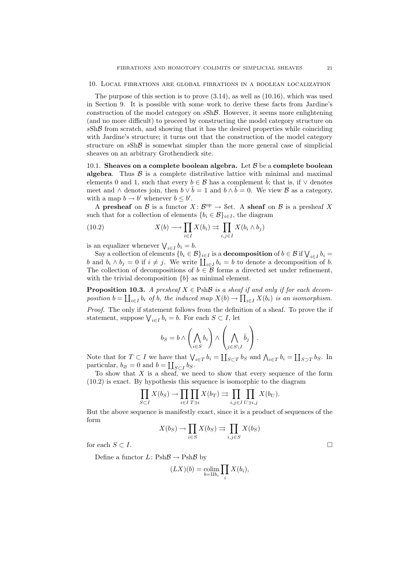#### 10. Local fibrations are global fibrations in a boolean localization

The purpose of this section is to prove (3.14), as well as (10.16), which was used in Section 9. It is possible with some work to derive these facts from Jardine's construction of the model category on sShB. However, it seems more enlightening (and no more difficult) to proceed by constructing the model category structure on  $sSh\mathcal{B}$  from scratch, and showing that it has the desired properties while coinciding with Jardine's structure; it turns out that the construction of the model category structure on  $sSh\mathcal{B}$  is somewhat simpler than the more general case of simplicial sheaves on an arbitrary Grothendieck site.

10.1. Sheaves on a complete boolean algebra. Let  $\beta$  be a complete boolean algebra. Thus  $\beta$  is a complete distributive lattice with minimal and maximal elements 0 and 1, such that every  $b \in \mathcal{B}$  has a complement  $\overline{b}$ ; that is, if  $\vee$  denotes meet and ∧ denotes join, then  $b \vee \overline{b} = 1$  and  $b \wedge \overline{b} = 0$ . We view  $\beta$  as a category, with a map  $b \to b'$  whenever  $b \leq b'$ .

A presheaf on B is a functor  $X: B^{op} \to$  Set. A sheaf on B is a presheaf X such that for a collection of elements  ${b_i \in \mathcal{B}}_{i \in I}$ , the diagram

(10.2) 
$$
X(b) \longrightarrow \prod_{i \in I} X(b_i) \Rightarrow \prod_{i,j \in I} X(b_i \wedge b_j)
$$

is an equalizer whenever  $\bigvee_{i \in I} b_i = b$ .

Say a collection of elements  ${b_i \in \mathcal{B}}_{i \in I}$  is a **decomposition** of  $b \in \mathcal{B}$  if  $\bigvee_{i \in I} b_i =$ b and  $b_i \wedge b_j = 0$  if  $i \neq j$ . We write  $\prod_{i \in I} b_i = b$  to denote a decomposition of b. The collection of decompositions of  $b \in \mathcal{B}$  forms a directed set under refinement, with the trivial decomposition  ${b}$  as minimal element.

**Proposition 10.3.** A presheaf  $X \in \text{Psh}\mathcal{B}$  is a sheaf if and only if for each decomposition  $b = \coprod_{i \in I} b_i$  of b, the induced map  $X(b) \to \prod_{i \in I} X(b_i)$  is an isomorphism. Proof. The only if statement follows from the definition of a sheaf. To prove the if statement, suppose  $\bigvee_{i \in I} b_i = b$ . For each  $S \subset I$ , let

$$
b_S = b \wedge \left(\bigwedge_{i \in S} b_i\right) \wedge \left(\bigwedge_{j \in S \setminus I} \bar{b}_j\right).
$$

Note that for  $T \subset I$  we have that  $\bigvee_{i \in T} b_i = \coprod_{S \subset T} b_S$  and  $\bigwedge_{i \in T} b_i = \coprod_{S \supset T} b_S$ . In particular,  $b_{\emptyset} = 0$  and  $b = \coprod_{S \subset I} b_S$ .

To show that X is a sheaf, we need to show that every sequence of the form (10.2) is exact. By hypothesis this sequence is isomorphic to the diagram

$$
\prod_{S \subset I} X(b_S) \to \prod_{i \in I} \prod_{T \ni i} X(b_T) \rightrightarrows \prod_{i,j \in I} \prod_{U \ni i,j} X(b_U).
$$

But the above sequence is manifestly exact, since it is a product of sequences of the form

$$
X(b_S) \to \prod_{i \in S} X(b_S) \rightrightarrows \prod_{i,j \in S} X(b_S)
$$

for each  $S \subset I$ .

Define a functor  $L: \text{Psh}\mathcal{B} \to \text{Psh}\mathcal{B}$  by

$$
(LX)(b) = \operatorname*{colim}_{b=\amalg b_i} \prod_i X(b_i),
$$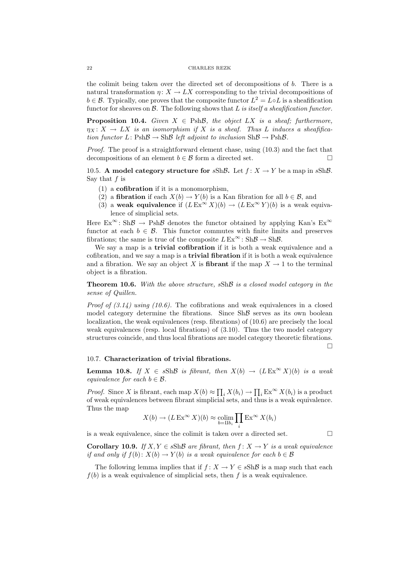# 22 CHARLES REZK

the colimit being taken over the directed set of decompositions of b. There is a natural transformation  $\eta: X \to LX$  corresponding to the trivial decompositions of  $b \in \mathcal{B}$ . Typically, one proves that the composite functor  $L^2 = L \circ L$  is a sheafification functor for sheaves on  $\mathcal{B}$ . The following shows that  $L$  is itself a sheafification functor.

**Proposition 10.4.** Given  $X \in \text{PshB}$ , the object LX is a sheaf; furthermore,  $\eta_X \colon X \to LX$  is an isomorphism if X is a sheaf. Thus L induces a sheafification functor  $L: \text{Psh}\mathcal{B} \to \text{Sh}\mathcal{B}$  left adjoint to inclusion  $\text{Sh}\mathcal{B} \to \text{Psh}\mathcal{B}$ .

Proof. The proof is a straightforward element chase, using (10.3) and the fact that decompositions of an element  $b \in \mathcal{B}$  form a directed set.

10.5. A model category structure for  $sSh\mathcal{B}$ . Let  $f: X \to Y$  be a map in  $sSh\mathcal{B}$ . Say that  $f$  is

- $(1)$  a **cofibration** if it is a monomorphism,
- (2) a **fibration** if each  $X(b) \to Y(b)$  is a Kan fibration for all  $b \in \mathcal{B}$ , and
- (3) a weak equivalence if  $(LEx^{\infty} X)(b) \to (LEx^{\infty} Y)(b)$  is a weak equivalence of simplicial sets.

Here  $Ex^{\infty}$ : Sh $\mathcal{B} \rightarrow Psh\mathcal{B}$  denotes the functor obtained by applying Kan's  $Ex^{\infty}$ functor at each  $b \in \mathcal{B}$ . This functor commutes with finite limits and preserves fibrations; the same is true of the composite  $L \to \infty^{\infty}$ : Sh $\mathcal{B} \to \text{Sh}\mathcal{B}$ .

We say a map is a **trivial cofibration** if it is both a weak equivalence and a cofibration, and we say a map is a trivial fibration if it is both a weak equivalence and a fibration. We say an object X is **fibrant** if the map  $X \to 1$  to the terminal object is a fibration.

Theorem 10.6. With the above structure, sShB is a closed model category in the sense of Quillen.

*Proof of*  $(3.14)$  *using (10.6).* The cofibrations and weak equivalences in a closed model category determine the fibrations. Since  $\text{Sh}\mathcal{B}$  serves as its own boolean localization, the weak equivalences (resp. fibrations) of (10.6) are precisely the local weak equivalences (resp. local fibrations) of (3.10). Thus the two model category structures coincide, and thus local fibrations are model category theoretic fibrations.  $\Box$ 

## 10.7. Characterization of trivial fibrations.

**Lemma 10.8.** If  $X \in sSh\mathcal{B}$  is fibrant, then  $X(b) \to (LEx^{\infty} X)(b)$  is a weak equivalence for each  $b \in \mathcal{B}$ .

*Proof.* Since X is fibrant, each map  $X(b) \approx \prod_i X(b_i) \rightarrow \prod_i \text{Ex}^{\infty} X(b_i)$  is a product of weak equivalences between fibrant simplicial sets, and thus is a weak equivalence. Thus the map

$$
X(b) \to (L \to \infty^{\infty} X)(b) \approx \operatorname*{colim}_{b=\amalg b_i} \prod_i \to \infty^{\infty} X(b_i)
$$

is a weak equivalence, since the colimit is taken over a directed set.  $\Box$ 

Corollary 10.9. If  $X, Y \in sSh\mathcal{B}$  are fibrant, then  $f: X \to Y$  is a weak equivalence if and only if  $f(b): X(b) \to Y(b)$  is a weak equivalence for each  $b \in \mathcal{B}$ 

The following lemma implies that if  $f: X \to Y \in sSh\mathcal{B}$  is a map such that each  $f(b)$  is a weak equivalence of simplicial sets, then f is a weak equivalence.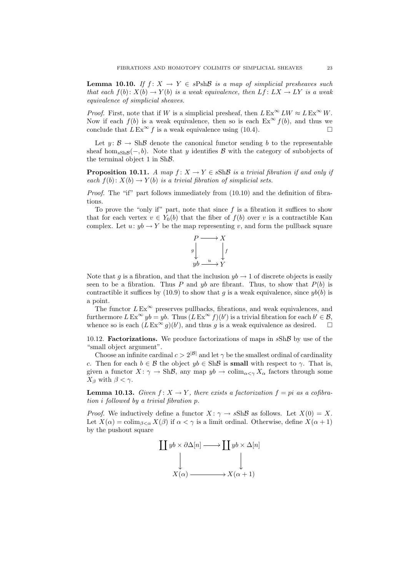**Lemma 10.10.** If  $f: X \to Y \in sPsh\mathcal{B}$  is a map of simplicial presheaves such that each  $f(b): X(b) \to Y(b)$  is a weak equivalence, then  $Lf: LX \to LY$  is a weak equivalence of simplicial sheaves.

*Proof.* First, note that if W is a simplicial presheaf, then  $L \to \infty^{\infty} LW \approx L \to \infty^{\infty} W$ . Now if each  $f(b)$  is a weak equivalence, then so is each  $Ex^{\infty} f(b)$ , and thus we conclude that  $L \to \infty$  f is a weak equivalence using (10.4).

Let  $y: \mathcal{B} \to \text{Sh}\mathcal{B}$  denote the canonical functor sending b to the representable sheaf hom<sub>sShB</sub> $(-, b)$ . Note that y identifies B with the category of subobjects of the terminal object 1 in ShB.

**Proposition 10.11.** A map  $f: X \to Y \in sSh\mathcal{B}$  is a trivial fibration if and only if each  $f(b): X(b) \to Y(b)$  is a trivial fibration of simplicial sets.

*Proof.* The "if" part follows immediately from  $(10.10)$  and the definition of fibrations.

To prove the "only if" part, note that since  $f$  is a fibration it suffices to show that for each vertex  $v \in Y_0(b)$  that the fiber of  $f(b)$  over v is a contractible Kan complex. Let  $u: yb \to Y$  be the map representing v, and form the pullback square



Note that g is a fibration, and that the inclusion  $yb \rightarrow 1$  of discrete objects is easily seen to be a fibration. Thus P and  $yb$  are fibrant. Thus, to show that  $P(b)$  is contractible it suffices by (10.9) to show that g is a weak equivalence, since  $yb(b)$  is a point.

The functor  $L \to \infty$  preserves pullbacks, fibrations, and weak equivalences, and furthermore  $L \to \infty$   $y b = y b$ . Thus  $(L \to \infty$   $f)(b')$  is a trivial fibration for each  $b' \in \mathcal{B}$ , whence so is each  $(L Ex^{\infty} g)(b')$ , and thus g is a weak equivalence as desired.  $\square$ 

10.12. **Factorizations.** We produce factorizations of maps in  $sSh\mathcal{B}$  by use of the "small object argument".

Choose an infinite cardinal  $c > 2^{|\mathcal{B}|}$  and let  $\gamma$  be the smallest ordinal of cardinality c. Then for each  $b \in \mathcal{B}$  the object  $yb \in Sh\mathcal{B}$  is small with respect to  $\gamma$ . That is, given a functor  $X: \gamma \to \text{Sh}\mathcal{B}$ , any map  $y\bar{b} \to \text{colim}_{\alpha \leq \gamma} X_{\alpha}$  factors through some  $X_{\beta}$  with  $\beta < \gamma$ .

**Lemma 10.13.** Given  $f: X \to Y$ , there exists a factorization  $f = pi$  as a cofibration i followed by a trivial fibration p.

*Proof.* We inductively define a functor  $X: \gamma \to sSh\mathcal{B}$  as follows. Let  $X(0) = X$ . Let  $X(\alpha) = \operatorname{colim}_{\beta < \alpha} X(\beta)$  if  $\alpha < \gamma$  is a limit ordinal. Otherwise, define  $X(\alpha + 1)$ by the pushout square

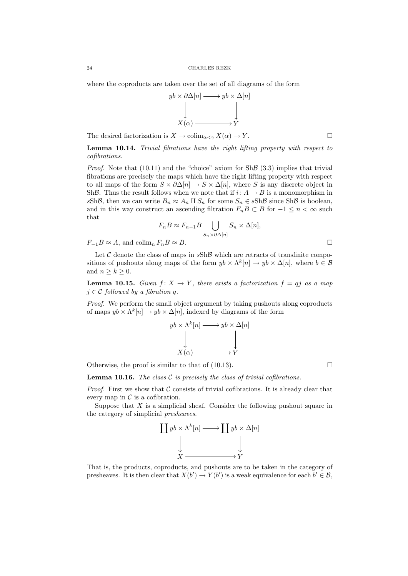where the coproducts are taken over the set of all diagrams of the form



The desired factorization is  $X \to \text{colim}_{\alpha < \gamma} X(\alpha) \to Y$ .

Lemma 10.14. Trivial fibrations have the right lifting property with respect to cofibrations.

*Proof.* Note that  $(10.11)$  and the "choice" axiom for Sh $\beta$   $(3.3)$  implies that trivial fibrations are precisely the maps which have the right lifting property with respect to all maps of the form  $S \times \partial \Delta[n] \to S \times \Delta[n]$ , where S is any discrete object in ShB. Thus the result follows when we note that if  $i: A \rightarrow B$  is a monomorphism in sShB, then we can write  $B_n \approx A_n \amalg S_n$  for some  $S_n \in sSh\mathcal{B}$  since ShB is boolean, and in this way construct an ascending filtration  $F_nB\subset B$  for  $-1\leq n<\infty$  such that

$$
F_n B \approx F_{n-1} B \bigcup_{S_n \times \partial \Delta[n]} S_n \times \Delta[n],
$$

 $F_{-1}B \approx A$ , and colim<sub>n</sub>  $F_nB \approx B$ .

Let  $C$  denote the class of maps in  $sSh\mathcal{B}$  which are retracts of transfinite compositions of pushouts along maps of the form  $yb \times \Lambda^k[n] \to yb \times \Delta[n]$ , where  $b \in \mathcal{B}$ and  $n > k > 0$ .

**Lemma 10.15.** Given  $f: X \to Y$ , there exists a factorization  $f = qj$  as a map  $j \in \mathcal{C}$  followed by a fibration q.

Proof. We perform the small object argument by taking pushouts along coproducts of maps  $yb \times \Lambda^k[n] \to yb \times \Delta[n]$ , indexed by diagrams of the form

$$
yb \times \Lambda^k[n] \longrightarrow yb \times \Delta[n]
$$
  
\n
$$
\downarrow \qquad \qquad \downarrow
$$
  
\n
$$
X(\alpha) \longrightarrow Y
$$

Otherwise, the proof is similar to that of  $(10.13)$ .

**Lemma 10.16.** The class  $C$  is precisely the class of trivial cofibrations.

*Proof.* First we show that  $\mathcal C$  consists of trivial cofibrations. It is already clear that every map in  $\mathcal C$  is a cofibration.

Suppose that  $X$  is a simplicial sheaf. Consider the following pushout square in the category of simplicial presheaves.



That is, the products, coproducts, and pushouts are to be taken in the category of presheaves. It is then clear that  $X(b') \to Y(b')$  is a weak equivalence for each  $b' \in \mathcal{B}$ ,